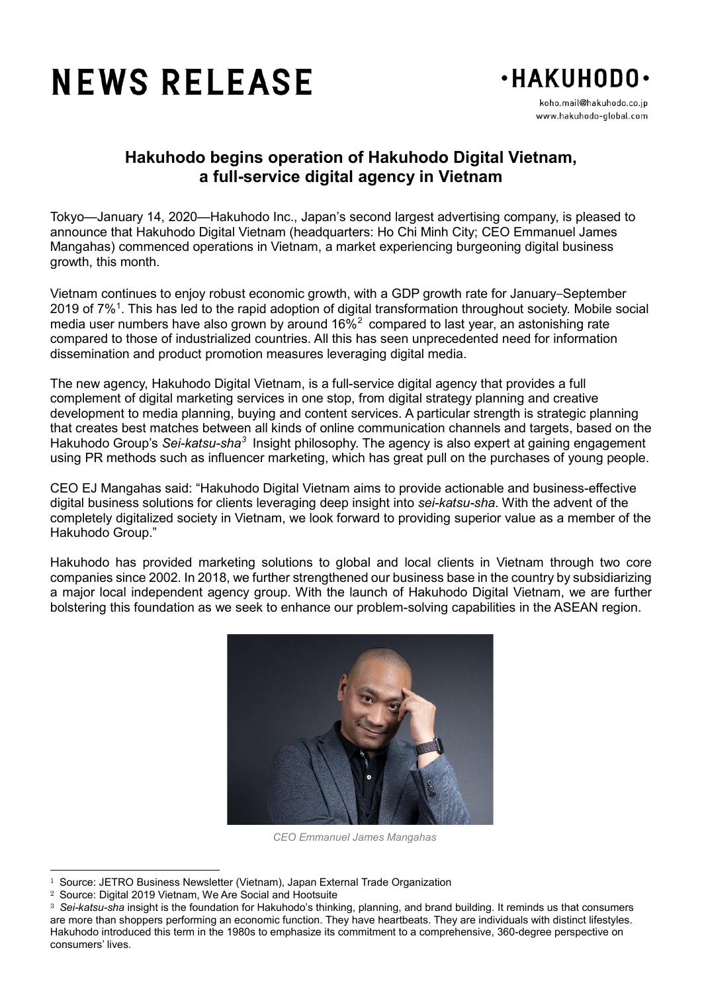## **NEWS RELEASE**



koho.mail@hakuhodo.co.jp www.hakuhodo-qlobal.com

## **Hakuhodo begins operation of Hakuhodo Digital Vietnam, a full-service digital agency in Vietnam**

Tokyo—January 14, 2020—Hakuhodo Inc., Japan's second largest advertising company, is pleased to announce that Hakuhodo Digital Vietnam (headquarters: Ho Chi Minh City; CEO Emmanuel James Mangahas) commenced operations in Vietnam, a market experiencing burgeoning digital business growth, this month.

Vietnam continues to enjoy robust economic growth, with a GDP growth rate for January–September 20[1](#page-0-0)9 of 7%<sup>1</sup>. This has led to the rapid adoption of digital transformation throughout society. Mobile social media user numbers have also grown by around  $16\%^2$  $16\%^2$  compared to last year, an astonishing rate compared to those of industrialized countries. All this has seen unprecedented need for information dissemination and product promotion measures leveraging digital media.

The new agency, Hakuhodo Digital Vietnam, is a full-service digital agency that provides a full complement of digital marketing services in one stop, from digital strategy planning and creative development to media planning, buying and content services. A particular strength is strategic planning that creates best matches between all kinds of online communication channels and targets, based on the Hakuhodo Group's *Sei-katsu-sha[3](#page-0-2)* Insight philosophy. The agency is also expert at gaining engagement using PR methods such as influencer marketing, which has great pull on the purchases of young people.

CEO EJ Mangahas said: "Hakuhodo Digital Vietnam aims to provide actionable and business-effective digital business solutions for clients leveraging deep insight into *sei-katsu-sha*. With the advent of the completely digitalized society in Vietnam, we look forward to providing superior value as a member of the Hakuhodo Group."

Hakuhodo has provided marketing solutions to global and local clients in Vietnam through two core companies since 2002. In 2018, we further strengthened our business base in the country by subsidiarizing a major local independent agency group. With the launch of Hakuhodo Digital Vietnam, we are further bolstering this foundation as we seek to enhance our problem-solving capabilities in the ASEAN region.



*CEO Emmanuel James Mangahas*

<span id="page-0-0"></span><sup>&</sup>lt;sup>1</sup> Source: JETRO Business Newsletter (Vietnam), Japan External Trade Organization<br><sup>2</sup> Source: Digital 2019 Vietnam, We Are Social and Hootsuite

<span id="page-0-1"></span><sup>&</sup>lt;sup>2</sup> Source: Digital 2019 Vietnam, We Are Social and Hootsuite<br>
<sup>3</sup> Sei-katsu-sha insight is the foundation for Hakuhodo's thinki

<span id="page-0-2"></span><sup>3</sup> *Sei-katsu-sha* insight is the foundation for Hakuhodo's thinking, planning, and brand building. It reminds us that consumers are more than shoppers performing an economic function. They have heartbeats. They are individuals with distinct lifestyles. Hakuhodo introduced this term in the 1980s to emphasize its commitment to a comprehensive, 360-degree perspective on consumers' lives.